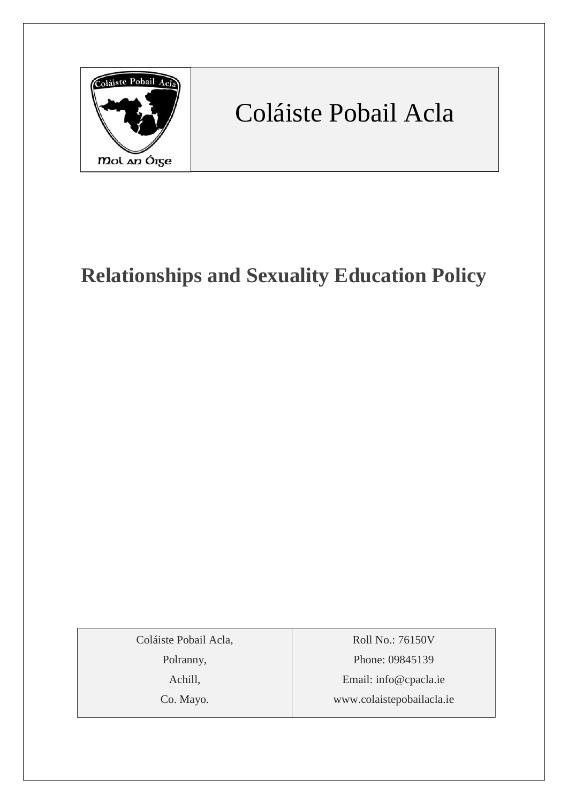

# Coláiste Pobail Acla

## **Relationships and Sexuality Education Policy**

Coláiste Pobail Acla,

Polranny,

Achill,

Co. Mayo.

Roll No.: 76150V Phone: 09845139 Email: [info@cpacla.ie](mailto:info@cpacla.ie) www.colaistepobailacla.ie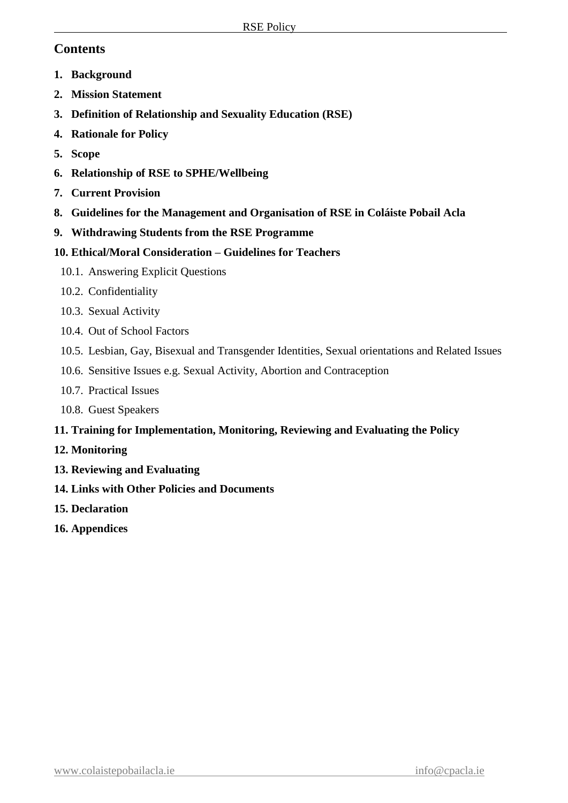## **Contents**

- **1. Background**
- **2. Mission Statement**
- **3. Definition of Relationship and Sexuality Education (RSE)**
- **4. Rationale for Policy**
- **5. Scope**
- **6. Relationship of RSE to SPHE/Wellbeing**
- **7. Current Provision**
- **8. Guidelines for the Management and Organisation of RSE in Coláiste Pobail Acla**
- **9. Withdrawing Students from the RSE Programme**

### **10. Ethical/Moral Consideration – Guidelines for Teachers**

- 10.1. Answering Explicit Questions
- 10.2. Confidentiality
- 10.3. Sexual Activity
- 10.4. Out of School Factors
- 10.5. Lesbian, Gay, Bisexual and Transgender Identities, Sexual orientations and Related Issues
- 10.6. Sensitive Issues e.g. Sexual Activity, Abortion and Contraception
- 10.7. Practical Issues
- 10.8. Guest Speakers

## **11. Training for Implementation, Monitoring, Reviewing and Evaluating the Policy**

- **12. Monitoring**
- **13. Reviewing and Evaluating**
- **14. Links with Other Policies and Documents**
- **15. Declaration**
- **16. Appendices**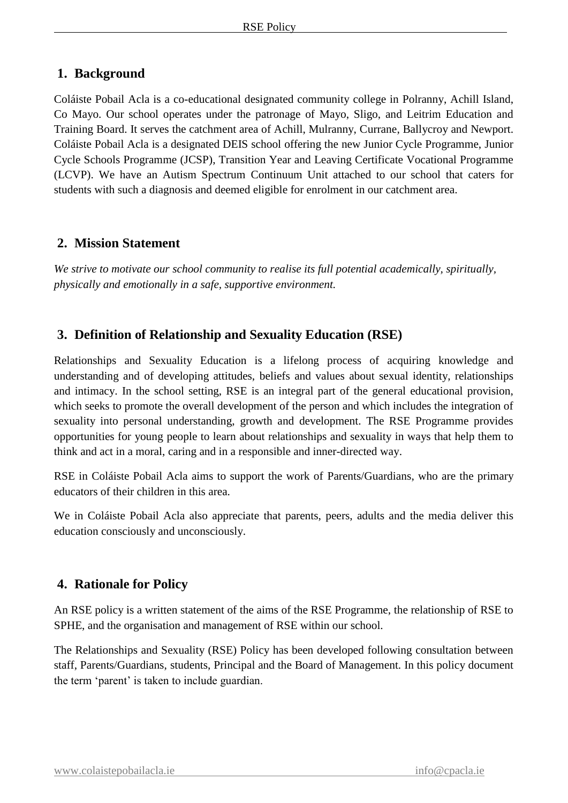## **1. Background**

Coláiste Pobail Acla is a co-educational designated community college in Polranny, Achill Island, Co Mayo. Our school operates under the patronage of Mayo, Sligo, and Leitrim Education and Training Board. It serves the catchment area of Achill, Mulranny, Currane, Ballycroy and Newport. Coláiste Pobail Acla is a designated DEIS school offering the new Junior Cycle Programme, Junior Cycle Schools Programme (JCSP), Transition Year and Leaving Certificate Vocational Programme (LCVP). We have an Autism Spectrum Continuum Unit attached to our school that caters for students with such a diagnosis and deemed eligible for enrolment in our catchment area.

## **2. Mission Statement**

*We strive to motivate our school community to realise its full potential academically, spiritually, physically and emotionally in a safe, supportive environment.*

## **3. Definition of Relationship and Sexuality Education (RSE)**

Relationships and Sexuality Education is a lifelong process of acquiring knowledge and understanding and of developing attitudes, beliefs and values about sexual identity, relationships and intimacy. In the school setting, RSE is an integral part of the general educational provision, which seeks to promote the overall development of the person and which includes the integration of sexuality into personal understanding, growth and development. The RSE Programme provides opportunities for young people to learn about relationships and sexuality in ways that help them to think and act in a moral, caring and in a responsible and inner-directed way.

RSE in Coláiste Pobail Acla aims to support the work of Parents/Guardians, who are the primary educators of their children in this area.

We in Coláiste Pobail Acla also appreciate that parents, peers, adults and the media deliver this education consciously and unconsciously.

## **4. Rationale for Policy**

An RSE policy is a written statement of the aims of the RSE Programme, the relationship of RSE to SPHE, and the organisation and management of RSE within our school.

The Relationships and Sexuality (RSE) Policy has been developed following consultation between staff, Parents/Guardians, students, Principal and the Board of Management. In this policy document the term 'parent' is taken to include guardian.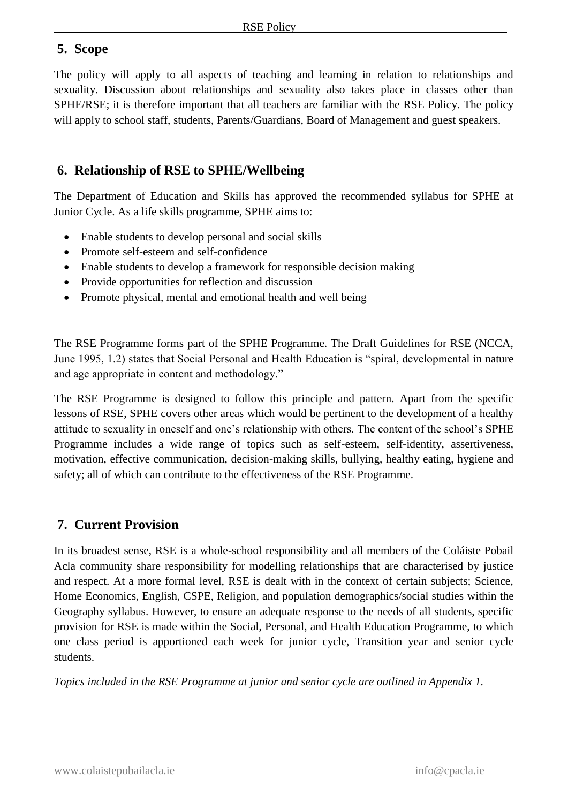## **5. Scope**

The policy will apply to all aspects of teaching and learning in relation to relationships and sexuality. Discussion about relationships and sexuality also takes place in classes other than SPHE/RSE; it is therefore important that all teachers are familiar with the RSE Policy. The policy will apply to school staff, students, Parents/Guardians, Board of Management and guest speakers.

## **6. Relationship of RSE to SPHE/Wellbeing**

The Department of Education and Skills has approved the recommended syllabus for SPHE at Junior Cycle. As a life skills programme, SPHE aims to:

- Enable students to develop personal and social skills
- Promote self-esteem and self-confidence
- Enable students to develop a framework for responsible decision making
- Provide opportunities for reflection and discussion
- Promote physical, mental and emotional health and well being

The RSE Programme forms part of the SPHE Programme. The Draft Guidelines for RSE (NCCA, June 1995, 1.2) states that Social Personal and Health Education is "spiral, developmental in nature and age appropriate in content and methodology."

The RSE Programme is designed to follow this principle and pattern. Apart from the specific lessons of RSE, SPHE covers other areas which would be pertinent to the development of a healthy attitude to sexuality in oneself and one's relationship with others. The content of the school's SPHE Programme includes a wide range of topics such as self-esteem, self-identity, assertiveness, motivation, effective communication, decision-making skills, bullying, healthy eating, hygiene and safety; all of which can contribute to the effectiveness of the RSE Programme.

## **7. Current Provision**

In its broadest sense, RSE is a whole-school responsibility and all members of the Coláiste Pobail Acla community share responsibility for modelling relationships that are characterised by justice and respect. At a more formal level, RSE is dealt with in the context of certain subjects; Science, Home Economics, English, CSPE, Religion, and population demographics/social studies within the Geography syllabus. However, to ensure an adequate response to the needs of all students, specific provision for RSE is made within the Social, Personal, and Health Education Programme, to which one class period is apportioned each week for junior cycle, Transition year and senior cycle students.

*Topics included in the RSE Programme at junior and senior cycle are outlined in Appendix 1.*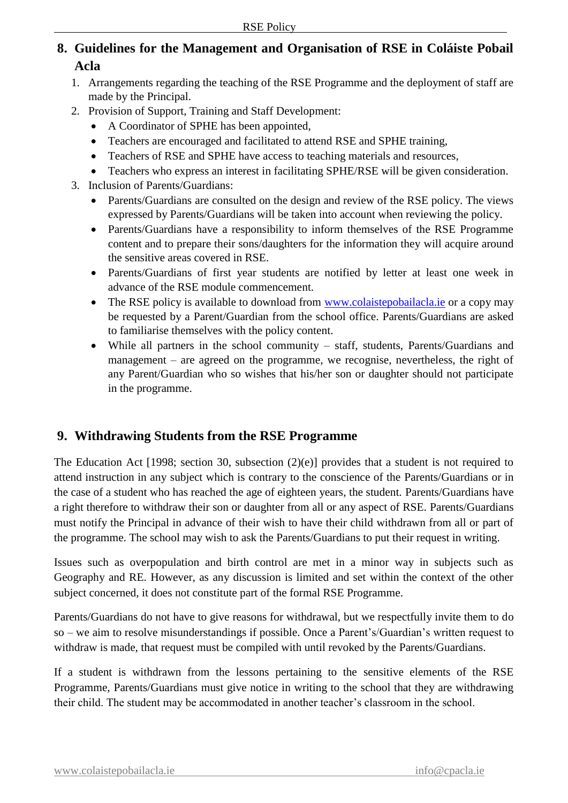## **8. Guidelines for the Management and Organisation of RSE in Coláiste Pobail Acla**

- 1. Arrangements regarding the teaching of the RSE Programme and the deployment of staff are made by the Principal.
- 2. Provision of Support, Training and Staff Development:
	- A Coordinator of SPHE has been appointed,
	- Teachers are encouraged and facilitated to attend RSE and SPHE training,
	- Teachers of RSE and SPHE have access to teaching materials and resources,
	- Teachers who express an interest in facilitating SPHE/RSE will be given consideration.
- 3. Inclusion of Parents/Guardians:
	- Parents/Guardians are consulted on the design and review of the RSE policy. The views expressed by Parents/Guardians will be taken into account when reviewing the policy.
	- Parents/Guardians have a responsibility to inform themselves of the RSE Programme content and to prepare their sons/daughters for the information they will acquire around the sensitive areas covered in RSE.
	- Parents/Guardians of first year students are notified by letter at least one week in advance of the RSE module commencement.
	- The RSE policy is available to download from [www.colaistepobailacla.ie](http://www.colaistepobailacla.ie/) or a copy may be requested by a Parent/Guardian from the school office. Parents/Guardians are asked to familiarise themselves with the policy content.
	- While all partners in the school community staff, students, Parents/Guardians and management – are agreed on the programme, we recognise, nevertheless, the right of any Parent/Guardian who so wishes that his/her son or daughter should not participate in the programme.

## **9. Withdrawing Students from the RSE Programme**

The Education Act [1998; section 30, subsection (2)(e)] provides that a student is not required to attend instruction in any subject which is contrary to the conscience of the Parents/Guardians or in the case of a student who has reached the age of eighteen years, the student. Parents/Guardians have a right therefore to withdraw their son or daughter from all or any aspect of RSE. Parents/Guardians must notify the Principal in advance of their wish to have their child withdrawn from all or part of the programme. The school may wish to ask the Parents/Guardians to put their request in writing.

Issues such as overpopulation and birth control are met in a minor way in subjects such as Geography and RE. However, as any discussion is limited and set within the context of the other subject concerned, it does not constitute part of the formal RSE Programme.

Parents/Guardians do not have to give reasons for withdrawal, but we respectfully invite them to do so – we aim to resolve misunderstandings if possible. Once a Parent's/Guardian's written request to withdraw is made, that request must be compiled with until revoked by the Parents/Guardians.

If a student is withdrawn from the lessons pertaining to the sensitive elements of the RSE Programme, Parents/Guardians must give notice in writing to the school that they are withdrawing their child. The student may be accommodated in another teacher's classroom in the school.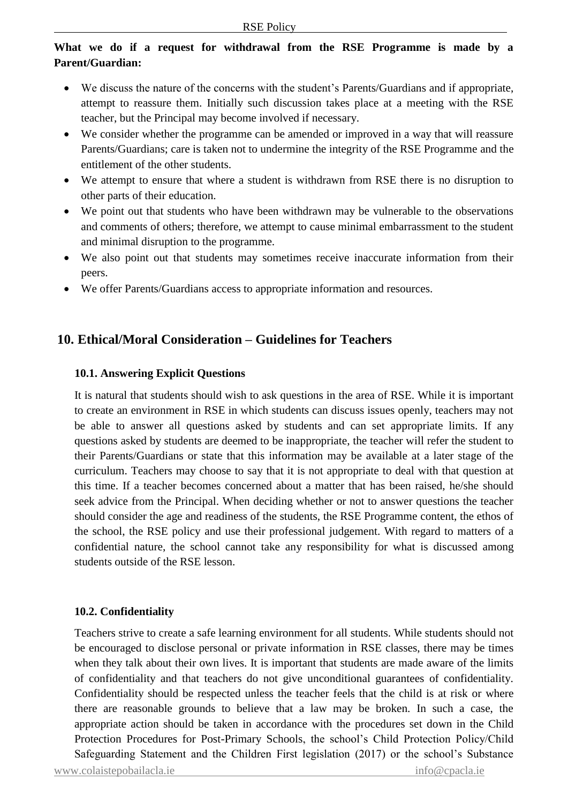#### **What we do if a request for withdrawal from the RSE Programme is made by a Parent/Guardian:**

- We discuss the nature of the concerns with the student's Parents/Guardians and if appropriate, attempt to reassure them. Initially such discussion takes place at a meeting with the RSE teacher, but the Principal may become involved if necessary.
- We consider whether the programme can be amended or improved in a way that will reassure Parents/Guardians; care is taken not to undermine the integrity of the RSE Programme and the entitlement of the other students.
- We attempt to ensure that where a student is withdrawn from RSE there is no disruption to other parts of their education.
- We point out that students who have been withdrawn may be vulnerable to the observations and comments of others; therefore, we attempt to cause minimal embarrassment to the student and minimal disruption to the programme.
- We also point out that students may sometimes receive inaccurate information from their peers.
- We offer Parents/Guardians access to appropriate information and resources.

## **10. Ethical/Moral Consideration – Guidelines for Teachers**

#### **10.1. Answering Explicit Questions**

It is natural that students should wish to ask questions in the area of RSE. While it is important to create an environment in RSE in which students can discuss issues openly, teachers may not be able to answer all questions asked by students and can set appropriate limits. If any questions asked by students are deemed to be inappropriate, the teacher will refer the student to their Parents/Guardians or state that this information may be available at a later stage of the curriculum. Teachers may choose to say that it is not appropriate to deal with that question at this time. If a teacher becomes concerned about a matter that has been raised, he/she should seek advice from the Principal. When deciding whether or not to answer questions the teacher should consider the age and readiness of the students, the RSE Programme content, the ethos of the school, the RSE policy and use their professional judgement. With regard to matters of a confidential nature, the school cannot take any responsibility for what is discussed among students outside of the RSE lesson.

#### **10.2. Confidentiality**

Teachers strive to create a safe learning environment for all students. While students should not be encouraged to disclose personal or private information in RSE classes, there may be times when they talk about their own lives. It is important that students are made aware of the limits of confidentiality and that teachers do not give unconditional guarantees of confidentiality. Confidentiality should be respected unless the teacher feels that the child is at risk or where there are reasonable grounds to believe that a law may be broken. In such a case, the appropriate action should be taken in accordance with the procedures set down in the Child Protection Procedures for Post-Primary Schools, the school's Child Protection Policy/Child Safeguarding Statement and the Children First legislation (2017) or the school's Substance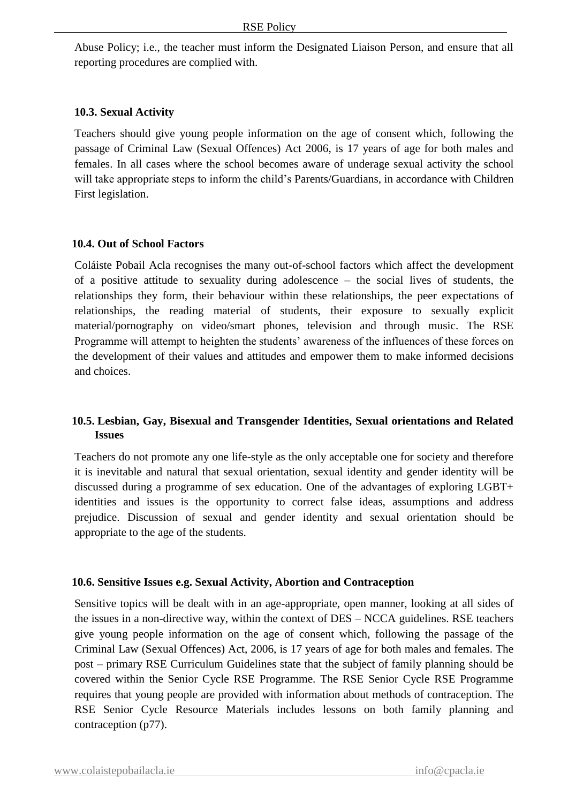Abuse Policy; i.e., the teacher must inform the Designated Liaison Person, and ensure that all reporting procedures are complied with.

#### **10.3. Sexual Activity**

Teachers should give young people information on the age of consent which, following the passage of Criminal Law (Sexual Offences) Act 2006, is 17 years of age for both males and females. In all cases where the school becomes aware of underage sexual activity the school will take appropriate steps to inform the child's Parents/Guardians, in accordance with Children First legislation.

#### **10.4. Out of School Factors**

Coláiste Pobail Acla recognises the many out-of-school factors which affect the development of a positive attitude to sexuality during adolescence – the social lives of students, the relationships they form, their behaviour within these relationships, the peer expectations of relationships, the reading material of students, their exposure to sexually explicit material/pornography on video/smart phones, television and through music. The RSE Programme will attempt to heighten the students' awareness of the influences of these forces on the development of their values and attitudes and empower them to make informed decisions and choices.

#### **10.5. Lesbian, Gay, Bisexual and Transgender Identities, Sexual orientations and Related Issues**

Teachers do not promote any one life-style as the only acceptable one for society and therefore it is inevitable and natural that sexual orientation, sexual identity and gender identity will be discussed during a programme of sex education. One of the advantages of exploring LGBT+ identities and issues is the opportunity to correct false ideas, assumptions and address prejudice. Discussion of sexual and gender identity and sexual orientation should be appropriate to the age of the students.

#### **10.6. Sensitive Issues e.g. Sexual Activity, Abortion and Contraception**

Sensitive topics will be dealt with in an age-appropriate, open manner, looking at all sides of the issues in a non-directive way, within the context of DES – NCCA guidelines. RSE teachers give young people information on the age of consent which, following the passage of the Criminal Law (Sexual Offences) Act, 2006, is 17 years of age for both males and females. The post – primary RSE Curriculum Guidelines state that the subject of family planning should be covered within the Senior Cycle RSE Programme. The RSE Senior Cycle RSE Programme requires that young people are provided with information about methods of contraception. The RSE Senior Cycle Resource Materials includes lessons on both family planning and contraception (p77).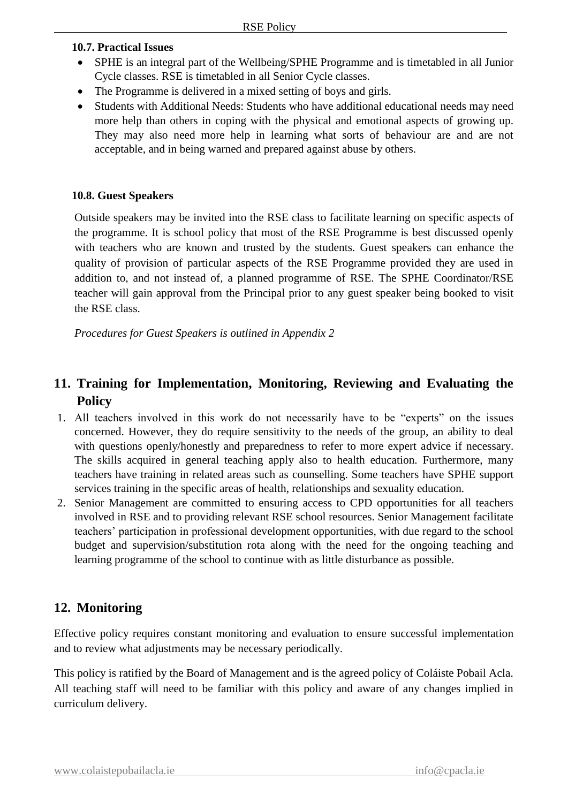#### **10.7. Practical Issues**

- SPHE is an integral part of the Wellbeing/SPHE Programme and is timetabled in all Junior Cycle classes. RSE is timetabled in all Senior Cycle classes.
- The Programme is delivered in a mixed setting of boys and girls.
- Students with Additional Needs: Students who have additional educational needs may need more help than others in coping with the physical and emotional aspects of growing up. They may also need more help in learning what sorts of behaviour are and are not acceptable, and in being warned and prepared against abuse by others.

#### **10.8. Guest Speakers**

Outside speakers may be invited into the RSE class to facilitate learning on specific aspects of the programme. It is school policy that most of the RSE Programme is best discussed openly with teachers who are known and trusted by the students. Guest speakers can enhance the quality of provision of particular aspects of the RSE Programme provided they are used in addition to, and not instead of, a planned programme of RSE. The SPHE Coordinator/RSE teacher will gain approval from the Principal prior to any guest speaker being booked to visit the RSE class.

*Procedures for Guest Speakers is outlined in Appendix 2*

## **11. Training for Implementation, Monitoring, Reviewing and Evaluating the Policy**

- 1. All teachers involved in this work do not necessarily have to be "experts" on the issues concerned. However, they do require sensitivity to the needs of the group, an ability to deal with questions openly/honestly and preparedness to refer to more expert advice if necessary. The skills acquired in general teaching apply also to health education. Furthermore, many teachers have training in related areas such as counselling. Some teachers have SPHE support services training in the specific areas of health, relationships and sexuality education.
- 2. Senior Management are committed to ensuring access to CPD opportunities for all teachers involved in RSE and to providing relevant RSE school resources. Senior Management facilitate teachers' participation in professional development opportunities, with due regard to the school budget and supervision/substitution rota along with the need for the ongoing teaching and learning programme of the school to continue with as little disturbance as possible.

## **12. Monitoring**

Effective policy requires constant monitoring and evaluation to ensure successful implementation and to review what adjustments may be necessary periodically.

This policy is ratified by the Board of Management and is the agreed policy of Coláiste Pobail Acla. All teaching staff will need to be familiar with this policy and aware of any changes implied in curriculum delivery.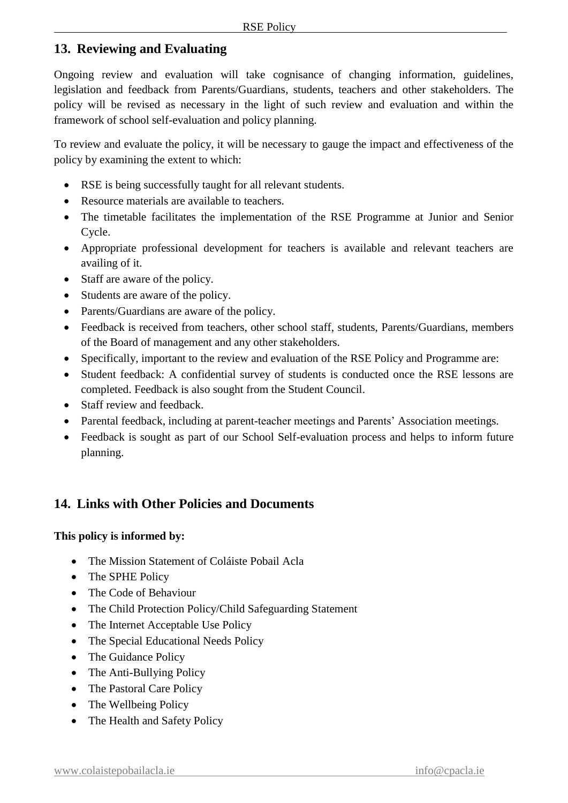## **13. Reviewing and Evaluating**

Ongoing review and evaluation will take cognisance of changing information, guidelines, legislation and feedback from Parents/Guardians, students, teachers and other stakeholders. The policy will be revised as necessary in the light of such review and evaluation and within the framework of school self-evaluation and policy planning.

To review and evaluate the policy, it will be necessary to gauge the impact and effectiveness of the policy by examining the extent to which:

- RSE is being successfully taught for all relevant students.
- Resource materials are available to teachers.
- The timetable facilitates the implementation of the RSE Programme at Junior and Senior Cycle.
- Appropriate professional development for teachers is available and relevant teachers are availing of it.
- Staff are aware of the policy.
- Students are aware of the policy.
- Parents/Guardians are aware of the policy.
- Feedback is received from teachers, other school staff, students, Parents/Guardians, members of the Board of management and any other stakeholders.
- Specifically, important to the review and evaluation of the RSE Policy and Programme are:
- Student feedback: A confidential survey of students is conducted once the RSE lessons are completed. Feedback is also sought from the Student Council.
- Staff review and feedback.
- Parental feedback, including at parent-teacher meetings and Parents' Association meetings.
- Feedback is sought as part of our School Self-evaluation process and helps to inform future planning.

## **14. Links with Other Policies and Documents**

#### **This policy is informed by:**

- The Mission Statement of Coláiste Pobail Acla
- The SPHE Policy
- The Code of Behaviour
- The Child Protection Policy/Child Safeguarding Statement
- The Internet Acceptable Use Policy
- The Special Educational Needs Policy
- The Guidance Policy
- The Anti-Bullying Policy
- The Pastoral Care Policy
- The Wellbeing Policy
- The Health and Safety Policy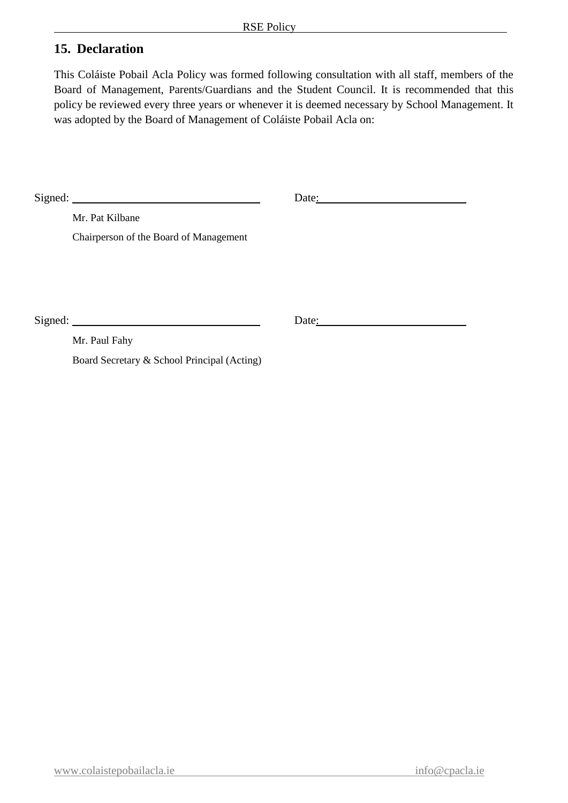## **15. Declaration**

This Coláiste Pobail Acla Policy was formed following consultation with all staff, members of the Board of Management, Parents/Guardians and the Student Council. It is recommended that this policy be reviewed every three years or whenever it is deemed necessary by School Management. It was adopted by the Board of Management of Coláiste Pobail Acla on:

Signed: <u>Date:</u> Date: Date: Date:

Mr. Pat Kilbane

Chairperson of the Board of Management

Signed: Date:

Mr. Paul Fahy

Board Secretary & School Principal (Acting)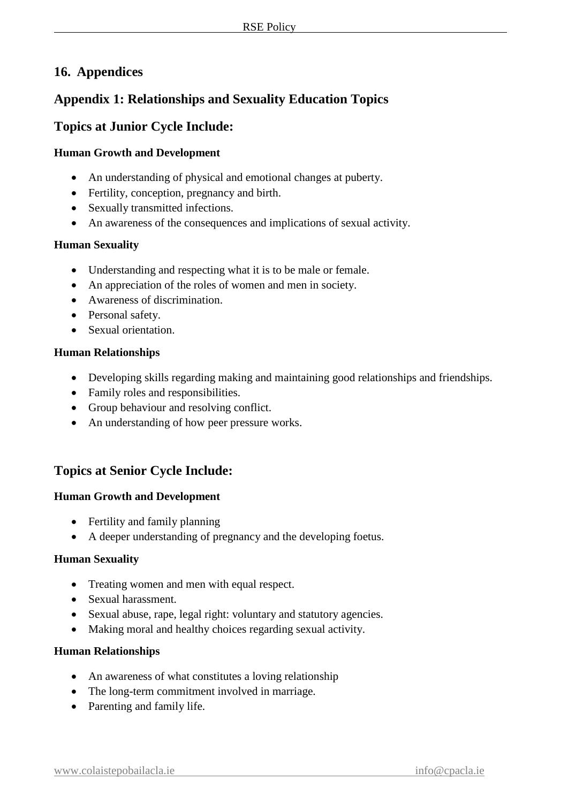## **16. Appendices**

## **Appendix 1: Relationships and Sexuality Education Topics**

## **Topics at Junior Cycle Include:**

#### **Human Growth and Development**

- An understanding of physical and emotional changes at puberty.
- Fertility, conception, pregnancy and birth.
- Sexually transmitted infections.
- An awareness of the consequences and implications of sexual activity.

#### **Human Sexuality**

- Understanding and respecting what it is to be male or female.
- An appreciation of the roles of women and men in society.
- Awareness of discrimination.
- Personal safety.
- Sexual orientation.

#### **Human Relationships**

- Developing skills regarding making and maintaining good relationships and friendships.
- Family roles and responsibilities.
- Group behaviour and resolving conflict.
- An understanding of how peer pressure works.

## **Topics at Senior Cycle Include:**

#### **Human Growth and Development**

- Fertility and family planning
- A deeper understanding of pregnancy and the developing foetus.

#### **Human Sexuality**

- Treating women and men with equal respect.
- Sexual harassment.
- Sexual abuse, rape, legal right: voluntary and statutory agencies.
- Making moral and healthy choices regarding sexual activity.

#### **Human Relationships**

- An awareness of what constitutes a loving relationship
- The long-term commitment involved in marriage.
- Parenting and family life.